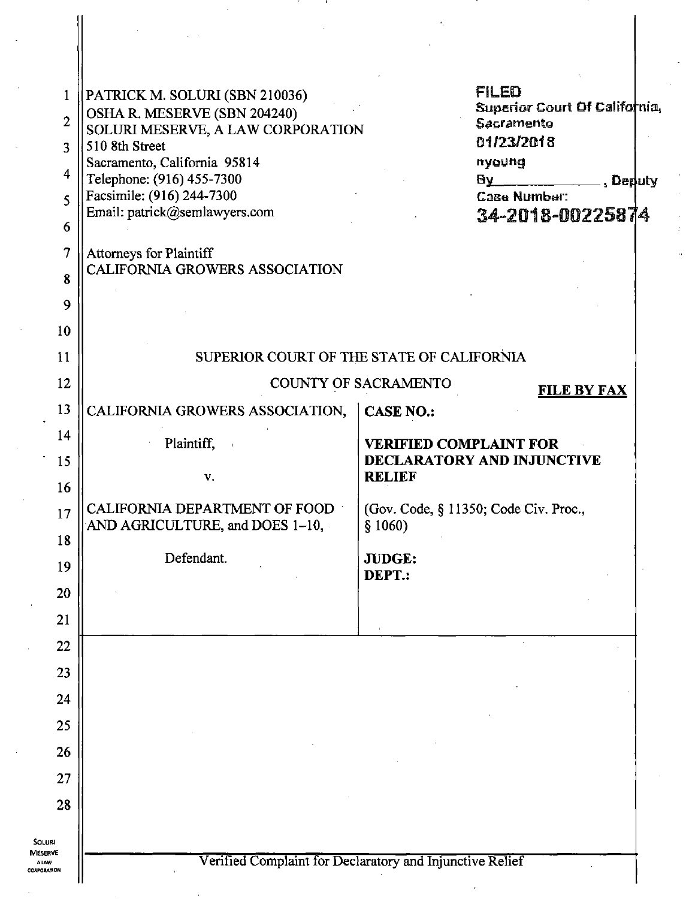| $\mathbf{1}$                           | (PATRICK M. SOLURI (SBN 210036)                                  | FILED                                                    |
|----------------------------------------|------------------------------------------------------------------|----------------------------------------------------------|
| $\overline{2}$                         | OSHA R. MESERVE (SBN 204240)                                     | Superior Court Of California,<br>Sacramento              |
| 3                                      | SOLURI MESERVE, A LAW CORPORATION<br>510 8th Street              | 01/23/2018                                               |
| 4                                      | Sacramento, California 95814                                     | nyoung                                                   |
| 5                                      | Telephone: (916) 455-7300<br>Facsimile: (916) 244-7300           | By <b>Deputy</b> , Deputy<br>Case Number:                |
|                                        | Email: patrick@semlawyers.com                                    | 34-2018-00225874                                         |
| 6                                      |                                                                  |                                                          |
| 7                                      | Attorneys for Plaintiff<br><b>CALIFORNIA GROWERS ASSOCIATION</b> |                                                          |
| 8                                      |                                                                  |                                                          |
| 9                                      |                                                                  |                                                          |
| 10                                     |                                                                  |                                                          |
| 11                                     | SUPERIOR COURT OF THE STATE OF CALIFORNIA                        |                                                          |
| 12                                     | COUNTY OF SACRAMENTO<br><b>FILE BY FAX</b>                       |                                                          |
| 13                                     | CALIFORNIA GROWERS ASSOCIATION,                                  | <b>CASE NO.:</b>                                         |
| 14                                     | Plaintiff,                                                       | <b>VERIFIED COMPLAINT FOR</b>                            |
| 15                                     |                                                                  | DECLARATORY AND INJUNCTIVE                               |
| 16                                     | v.                                                               | <b>RELIEF</b>                                            |
| 17                                     | CALIFORNIA DEPARTMENT OF FOOD                                    | (Gov. Code, § 11350; Code Civ. Proc.,                    |
| 18                                     | AND AGRICULTURE, and DOES 1-10,                                  | § 1060)                                                  |
| 19                                     | Defendant.                                                       | JUDGE:                                                   |
| 20                                     |                                                                  | DEPT.:                                                   |
| 21                                     |                                                                  |                                                          |
| 22                                     |                                                                  |                                                          |
| 23                                     |                                                                  |                                                          |
| 24                                     |                                                                  |                                                          |
| 25                                     |                                                                  |                                                          |
|                                        |                                                                  |                                                          |
| 26                                     |                                                                  |                                                          |
| 27                                     |                                                                  |                                                          |
| 28                                     |                                                                  |                                                          |
| <b>SOLURI</b>                          |                                                                  |                                                          |
| <b>MESERVE</b><br>A LAW<br>CORPORATION |                                                                  | Verified Complaint for Declaratory and Injunctive Relief |
|                                        |                                                                  |                                                          |

Π

 $\vert$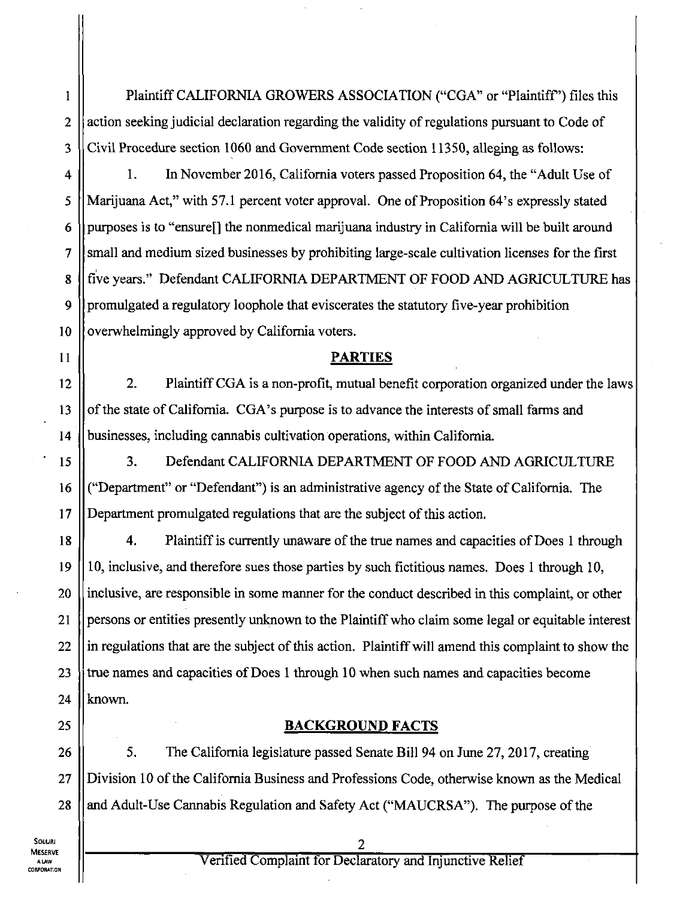Plaintiff CALIFORNIA GROWERS ASSOCIATION ("CGA" or "Plaintiff") files this action seeking judicial declaration regarding the validity of regulations pursuant to Code of Civil Procedure section 1060 and Govemment Code section 11350, alleging as follows:

1. In November 2016, Califomia voters passed Proposition 64, the "Adult Use of Marijuana Act," with 57.1 percent voter approval. One of Proposition 64's expressly stated purposes is to "ensure<sup>[]</sup> the nonmedical marijuana industry in California will be built around small and medium sized businesses by prohibiting large-scale cultivation licenses for the first five years." Defendant CALIFORNIA DEPARTMENT OF FOOD AND AGRICULTURE has promulgated a regulatory loophole that eviscerates the statutory five-year prohibition overwhelmingly approved by Califomia voters.

#### **PARTIES**

2. Plaintiff CGA is a non-profit, mutual benefit corporation organized under the laws of the state of California. CGA's purpose is to advance the interests of small farms and businesses, including cannabis cultivation operations, within Califomia.

3. Defendant CALIFORNIA DEPARTMENT OF FOOD AND AGRICULTURE ("Department" or "Defendant") is an administrative agency of the State of California. The Department promulgated regulations that are the subject of this action.

18 19 20 21 22 23 24 4. Plaintiff is currently unaware of the tme names and capacities of Does 1 through 10, inclusive, and therefore sues those parties by such fictitious names. Does 1 through 10, inclusive, are responsible in some manner for the conduct described in this complaint, or other persons or entities presently unknown to the Plaintiff who claim some legal or equitable interest in regulations that are the subject of this action. Plaintiff will amend this complaint to show the tme names and capacities of Does 1 through 10 when such names and capacities become known.

#### **BACKGROUND FACTS**

28 5. The Califomia legislature passed Senate Bill 94 on June 27, 2017, creating Division 10 of the Califomia Business and Professions Code, otherwise known as the Medical and Adult-Use Cannabis Regulation and Safety Act ("MAUCRSA"). The purpose of the

25

26

27

1

2

3

4

5

6

7

8

9

10

11

12

13

14

15

16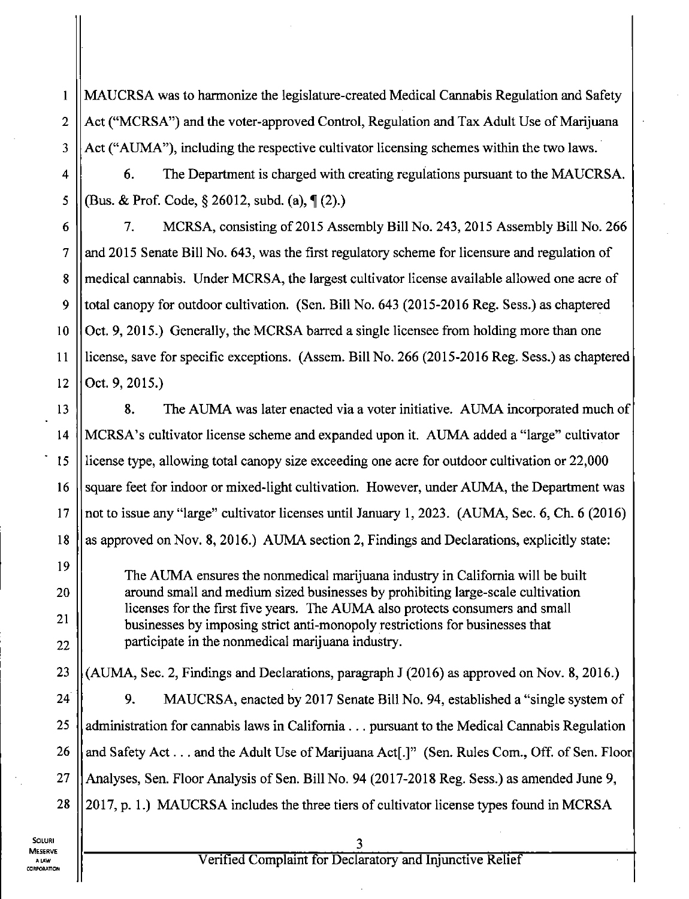MAUCRSA was to harmonize the legislature-created Medical Cannabis Regulation and Safety Act ("MCRSA") and the voter-approved Control, Regulation and Tax Adult Use of Marijuana Act ("AUMA"), including the respective cultivator licensing schemes within the two laws.

6. The Department is charged with creating regulations pursuant to the MAUCRSA. (Bus. & Prof. Code,  $\S 26012$ , subd. (a),  $\P (2)$ .)

7. MCRSA, consisting of 2015 Assembly Bill No. 243, 2015 Assembly Bill No. 266 and 2015 Senate Bill No. 643, was the first regulatory scheme for licensure and regulation of medical cannabis. Under MCRSA, the largest cultivator license available allowed one acre of total canopy for outdoor cultivation. (Sen. Bill No. 643 (2015-2016 Reg. Sess.) as chaptered Oct. 9, 2015.) Generally, the MCRSA barred a single licensee from holding more than one license, save for specific exceptions. (Assem. Bill No. 266 (2015-2016 Reg. Sess.) as chaptered Oct. 9, 2015.)

16 17 18 8. The AUMA was later enacted via a voter initiative. AUMA incorporated much of MCRSA's cultivator license scheme and expanded upon it. AUMA added a "large" cultivator license type, allowing total canopy size exceeding one acre for outdoor cultivation or 22,000 square feet for indoor or mixed-light cultivation. However, under AUMA, the Department was not to issue any "large" cultivator licenses until January 1, 2023. (AUMA, Sec. 6, Ch. 6 (2016) as approved on Nov. 8, 2016.) AUMA section 2, Findings and Declarations, explicitly state:

The AUMA ensures the nonmedical marijuana industry in Califomia will be built around small and medium sized businesses by prohibiting large-scale cultivation licenses for the first five years. The AUMA also protects consumers and small businesses by imposing strict anti-monopoly restrictions for businesses that participate in the nonmedical marijuana industry.

23 24 25 26 27 28 (AUMA, Sec. 2, Findings and Declarations, paragraph J (2016) as approved on Nov. 8, 2016.) 9. MAUCRSA, enacted by 2017 Senate Bill No. 94, established a "single system of administration for cannabis laws in Califomia .. . pursuant to the Medical Cannabis Regulation and Safety Act... and the Adult Use of Marijuana Act<sup>[1]"</sup> (Sen. Rules Com., Off. of Sen. Floor Analyses, Sen. Floor Analysis of Sen. Bill No. 94 (2017-2018 Reg. Sess.) as amended June 9, 2017, p. 1.) MAUCRSA includes the three tiers of cultivator license types found in MCRSA

1

2

3

4

5

6

7

8

9

10

11

12

13

14

15

19

20

21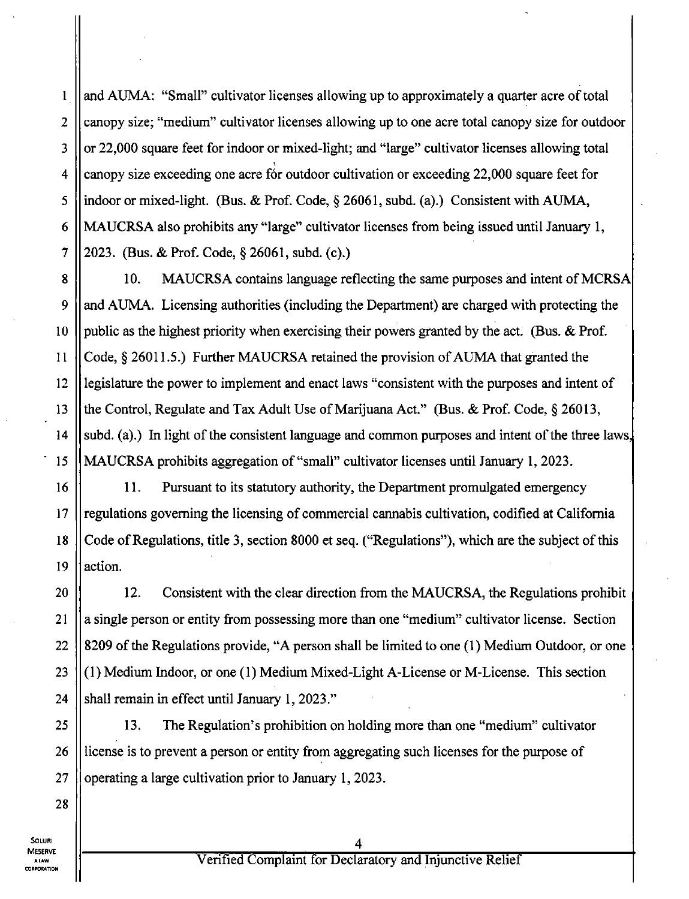and AUMA: "Small" cultivator licenses allowing up to approximately a quarter acre of total canopy size; "medium" cultivator licenses allowing up to one acre total canopy size for outdoor or 22,000 square feet for indoor or mixed-light; and "large" cultivator licenses allowing total canopy size exceeding one acre for outdoor cultivation or exceeding 22,000 square feet for indoor or mixed-light. (Bus. & Prof. Code, § 26061, subd. (a).) Consistent with AUMA, MAUCRSA also prohibits any "large" cultivator licenses from being issued until January 1, 2023. (Bus. & Prof. Code, § 26061, subd. (c).)

10. MAUCRSA contains language reflecting the same purposes and intent of MCRSA and AUMA. Licensing authorities (including the Department) are charged with protecting the public as the highest priority when exercising their powers granted by the act. (Bus. & Prof. Code, § 26011.5.) Further MAUCRSA retained the provision of AUMA that granted the legislature the power to implement and enact laws "consistent with the purposes and intent of the Control, Regulate and Tax Adult Use of Marijuana Act." (Bus. & Prof. Code, § 26013, subd. (a).) In light of the consistent language and common purposes and intent of the three laws, MAUCRSA prohibits aggregation of "small" cultivator licenses until January 1, 2023.

11. Pursuant to its statutory authority, the Department promulgated emergency regulations goveming the licensing of commercial cannabis cultivation, codified at Califomia Code of Regulations, title 3, section 8000 et seq. ("Regulations"), which are the subject of this action.

12. Consistent with the clear direction from the MAUCRSA, the Regulations prohibit a single person or entity from possessing more than one "medium" cultivator license. Section 8209 of the Regulations provide, "A person shall be limited to one (1) Medium Outdoor, or one (1) Medium Indoor, or one (1) Medium Mixed-Light A-License or M-License. This section shall remain in effect until January 1, 2023."

25 26 27 13. The Regulation's prohibition on holding more than one "medium" cultivator license is to prevent a person or entity from aggregating such licenses for the purpose of operating a large cultivation prior to January 1, 2023.

SOLURI MESERVE A LAW CORPORATION

1

2

3

4

5

6

7

8

9

10

11

12

13

14

15

16

17

18

19

20

21

22

23

24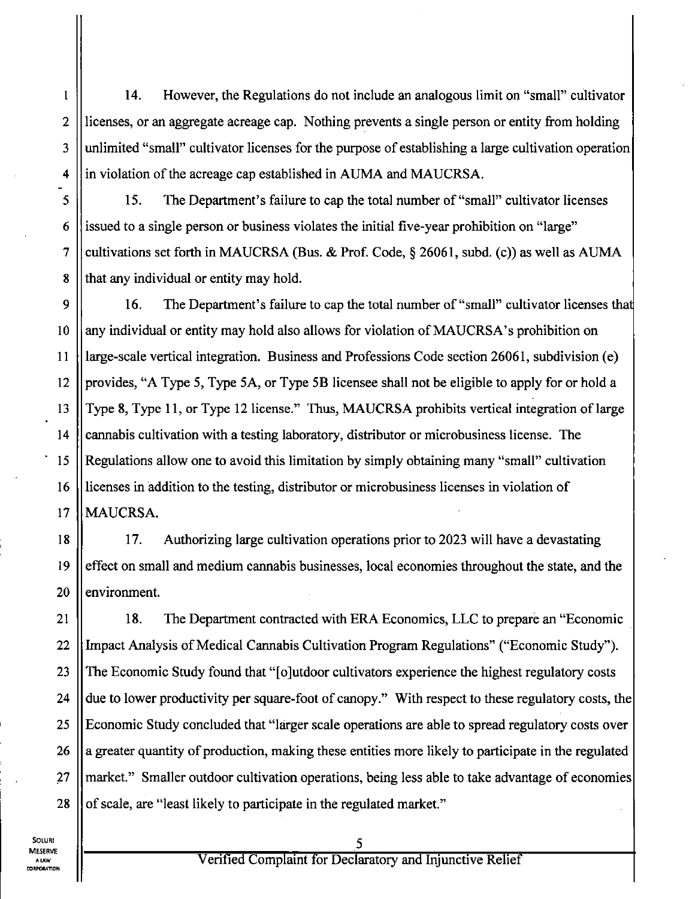14. However, the Regulations do not include an analogous limit on "small" cultivator licenses, or an aggregate acreage cap. Nothing prevents a single person or entity from holding unlimited "small" cultivator licenses for the purpose of establishing a large cultivation operation in violation of the acreage cap established in AUMA and MAUCRSA.

15. The Department's failure to cap the total number of "small" cultivator licenses issued to a single person or business violates the initial five-year prohibition on "large" cultivations set forth in MAUCRSA (Bus. & Prof. Code, § 26061, subd. (c)) as well as AUMA that any individual or entity may hold.

10 12 14 17 16. The Department's failure to cap the total number of "small" cultivator licenses that any individual or entity may hold also allows for violation of MAUCRSA's prohibition on large-scale vertical integration. Business and Professions Code section 26061, subdivision (e) provides, "A Type 5, Type 5A, or Type 5B licensee shall not be eligible to apply for or hold a Type 8, Type 11, or Type 12 license." Thus, MAUCRSA prohibits vertical integration of large carmabis cultivation with a testing laboratory, distributor or microbusiness license. The Regulations allow one to avoid this limitation by simply obtaining many "small" cultivation licenses in addition to the testing, distributor or microbusiness licenses in violation of MAUCRSA.

18 19 20 17. Authorizing large cultivation operations prior to 2023 will have a devastating effect on small and medium cannabis businesses, local economies throughout the state, and the environment.

21 22 23 24 25 26 27 28 18. The Department contracted with ERA Economics, LLC to prepare an "Economic Impact Analysis of Medical Cannabis Cultivation Program Regulations" ("Economic Study"). The Economic Study found that "[ojutdoor cultivators experience the highest regulatory costs due to lower productivity per square-foot of canopy." With respect to these regulatory costs, the Economic Study concluded that "larger scale operations are able to spread regulatory costs over a greater quantity of production, making these entities more likely to participate in the regulated market." Smaller outdoor cultivation operations, being less able to take advantage of economies of scale, are "least likely to participate in the regulated market."

SOLURI MESERVE A LAW CORPORATION

1

2

3

4

5

6

7

8

9

11

13

15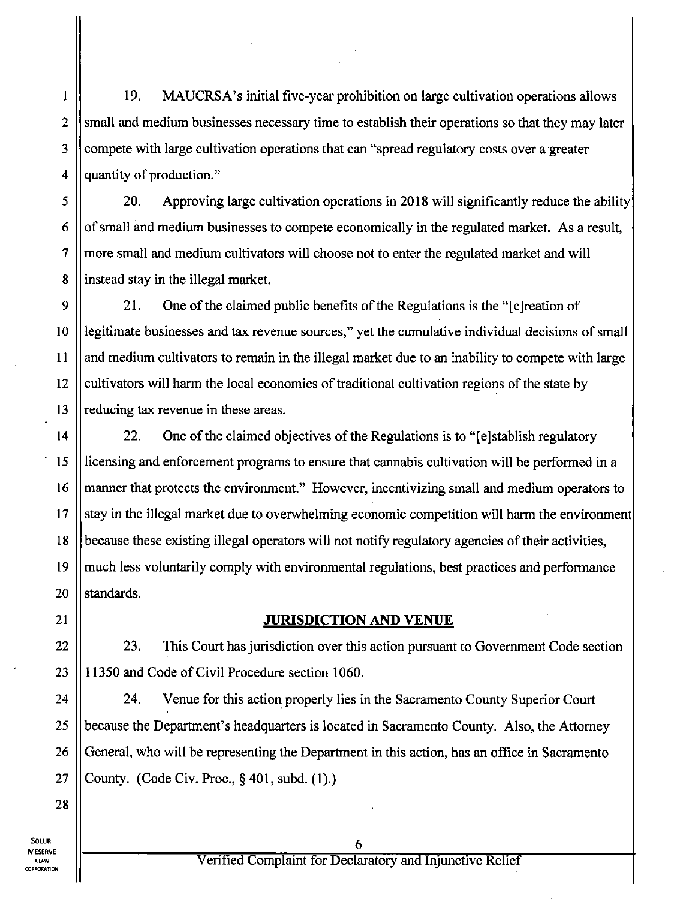19. MAUCRSA's initial five-year prohibition on large cultivation operations allows small and medium businesses necessary time to establish their operations so that they may later compete with large cultivation operations that can "spread regulatory costs over a greater quantity of production."

20. Approving large cultivation operations in 2018 will significantly reduce the ability of small and medium businesses to compete economically in the regulated market. As a result, more small and medium cultivators will choose not to enter the regulated market and will instead stay in the illegal market.

9 10 12 21. One of the claimed public benefits of the Regulations is the "[c] reation of legitimate businesses and tax revenue sources," yet the cumulative individual decisions of small and medium cultivators to remain in the illegal market due to an inability to compete with large cultivators will harm the local economies of traditional cultivation regions of the state by reducing tax revenue in these areas.

22. One of the claimed objectives of the Regulations is to "[e]stablish regulatory licensing and enforcement programs to ensure that cannabis cultivation will be performed in a manner that protects the environment." However, incentivizing small and medium operators to stay in the illegal market due to overwhelming economic competition will harm the environment because these existing illegal operators will not notify regulatory agencies of their activities, much less voluntarily comply with environmental regulations, best practices and performance standards.

#### JURISDICTION AND VENUE

23. This Court has jurisdiction over this action pursuant to Govemment Code section 11350 and Code of Civil Procedure section 1060.

24. Venue for this action properly lies in the Sacramento County Superior Court because the Department's headquarters is located in Sacramento County. Also, the Attomey General, who will be representing the Department in this action, has an office in Sacramento County. (Code Civ. Proc, § 401, subd. (1).)

1

2

3

4

5

6

7

8

11

13

14

15

16

17

18

19

20

21

22

23

24

25

26

27

28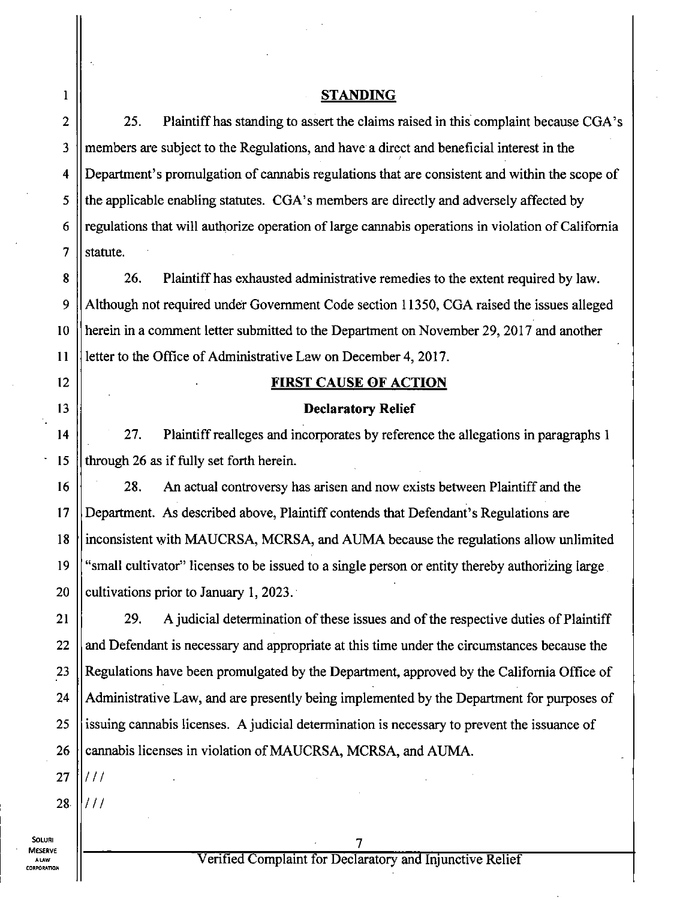#### **STANDING**

25. Plaintiff has standing to assert the claims raised in this complaint because CGA's members are subject to the Regulations, and have a direct and beneficial interest in the Department's promulgation of carmabis regulations that are consistent and within the scope of the applicable enabling statutes. CGA's members are directly and adversely affected by regulations that will authorize operation of large cannabis operations in violation of Califomia statute.

26. Plaintiff has exhausted administrative remedies to the extent required by law. Although not required under Govemment Code section 11350, CGA raised the issues alleged herein in a comment letter submitted to the Department on November 29, 2017 and another letter to the Office of Administrative Law on December 4, 2017.

#### **FIRST CAUSE OF ACTION**

#### **Declaratory Relief**

27. Plaintiff realleges and incorporates by reference the allegations in paragraphs 1 through 26 as if fully set forth herein.

16 18 19 20 28. An actual controversy has arisen and now exists between Plaintiff and the Department. As described above. Plaintiff contends that Defendant's Regulations are inconsistent with MAUCRSA, MCRSA, and AUMA because the regulations allow unlimited "small cultivator" licenses to be issued to a single person or entity thereby authorizing large cultivations prior to January 1, 2023.

22 23 24 25 26 29. A judicial determination of these issues and of the respective duties of Plaintiff and Defendant is necessary and appropriate at this time under the circumstances because the Regulations have been promulgated by the Department, approved by the Califomia Office of Administrative Law, and are presently being implemented by the Department for purposes of issuing cannabis licenses. A judicial determination is necessary to prevent the issuance of cannabis licenses in violation of MAUCRSA, MCRSA, and AUMA.

27

SOLUR MESERVE A LAW CORPORATION 1

2

3

4

5

6

7

8

9

10

11

12

13

14

15

17

21

28 *III* 

*Ill •*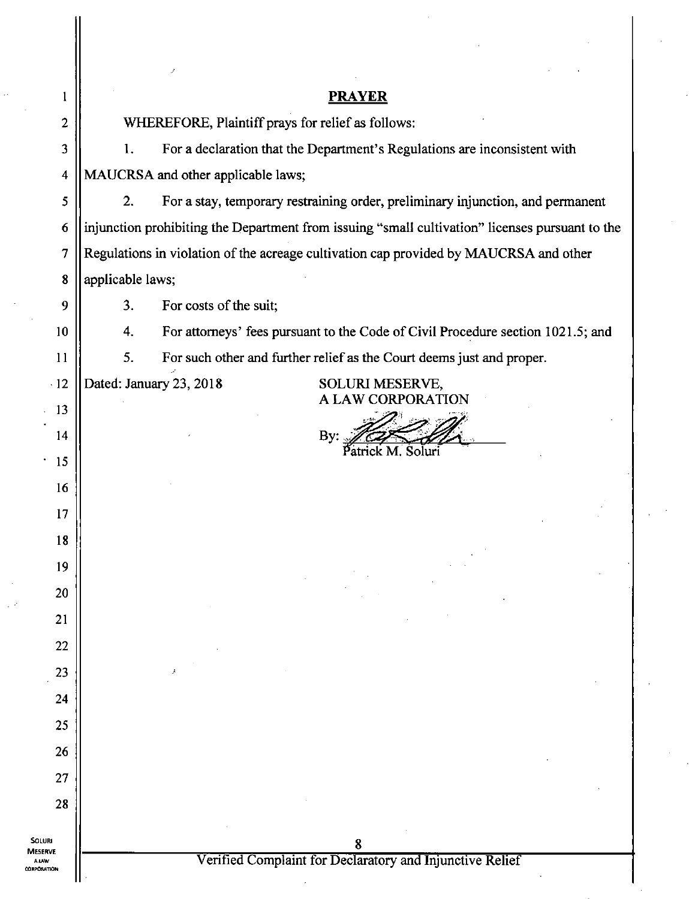| 1                                            | <b>PRAYER</b>                                                                                   |  |
|----------------------------------------------|-------------------------------------------------------------------------------------------------|--|
| 2                                            | WHEREFORE, Plaintiff prays for relief as follows:                                               |  |
| 3                                            | For a declaration that the Department's Regulations are inconsistent with<br>1.                 |  |
| 4                                            | MAUCRSA and other applicable laws;                                                              |  |
| 5                                            | 2.<br>For a stay, temporary restraining order, preliminary injunction, and permanent            |  |
| 6                                            | injunction prohibiting the Department from issuing "small cultivation" licenses pursuant to the |  |
| 7                                            | Regulations in violation of the acreage cultivation cap provided by MAUCRSA and other           |  |
| 8                                            | applicable laws;                                                                                |  |
| 9                                            | 3.<br>For costs of the suit;                                                                    |  |
| 10                                           | For attorneys' fees pursuant to the Code of Civil Procedure section 1021.5; and<br>4.           |  |
| 11                                           | 5.<br>For such other and further relief as the Court deems just and proper.                     |  |
| 12                                           | Dated: January 23, 2018<br><b>SOLURI MESERVE,</b>                                               |  |
| 13                                           | <b>A LAW CORPORATION</b>                                                                        |  |
| 14                                           | By:                                                                                             |  |
| 15                                           |                                                                                                 |  |
| 16                                           |                                                                                                 |  |
| 17                                           |                                                                                                 |  |
| 18                                           |                                                                                                 |  |
| 19                                           |                                                                                                 |  |
| 20                                           |                                                                                                 |  |
| 21                                           |                                                                                                 |  |
| 22                                           |                                                                                                 |  |
| 23                                           |                                                                                                 |  |
| 24                                           |                                                                                                 |  |
| 25                                           |                                                                                                 |  |
| 26                                           |                                                                                                 |  |
| 27                                           |                                                                                                 |  |
| 28                                           |                                                                                                 |  |
| <b>SOLURI</b>                                |                                                                                                 |  |
| <b>MESERVE</b><br><b>ALAW</b><br>CORPORATION | Verified Complaint for Declaratory and Injunctive Relief                                        |  |
|                                              |                                                                                                 |  |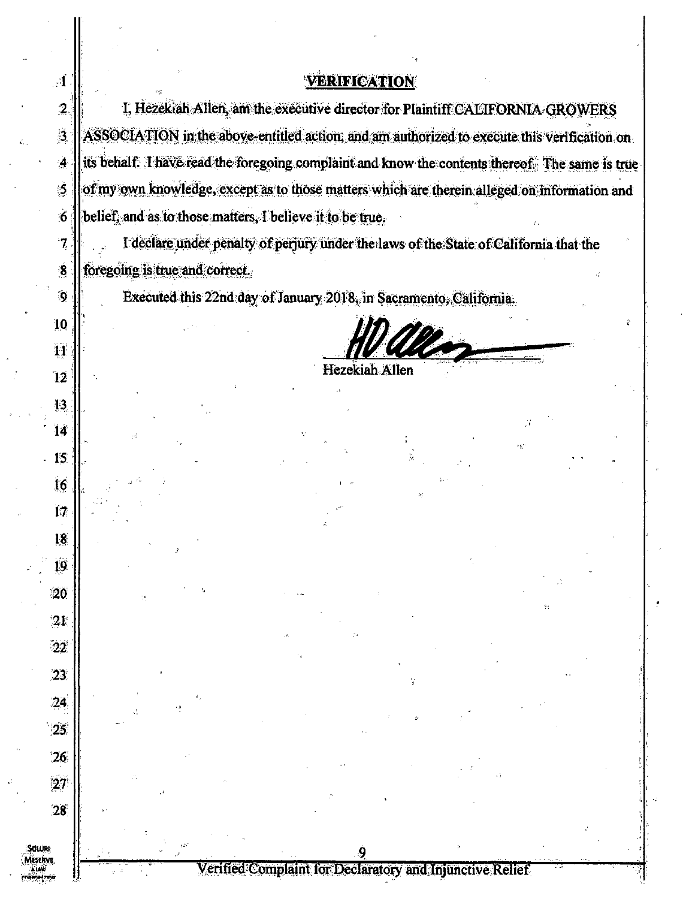### VERIFICATION

 $\mathbf{A}$ 

 $\ddot{3}$ 

 $\ddot{ }$ 

5

6

 $\overline{7}$ 

 $\ddot{\bm{8}}$ 

 $\ddot{\mathbf{Q}}$ 

10

11

 $\ddot{1}2$ 

13

14

15

 $16$ 

 $17$ 

18

19

 $20$ 

 $2<sub>k</sub>$ 

 $22^{\circ}$ 

 $23$ 

 $24$ 

 $\cdot$  25.

 $26$ 

27

 $28^\circ$ 

Sotua

I, Hezekiah Allen, am the executive director for Plaintiff CALIFORNIA GROWERS  $\overline{2}$ ASSOCIATION in the above-entitled action, and am authorized to execute this verification on its behalf. I have read the foregoing complaint and know the contents thereof. The same is trueof my own knowledge, except as to those matters which are therein alleged on information and belief, and as to those matters. I believe it to be true.

I declare under penalty of perjury under the laws of the State of California that the foregoing is true and correct.

Executed this 22nd day of January 2018, in Sacramento, California.

Hezekiah Allen

Verified Complaint for Declaratory and Injunctive Relief